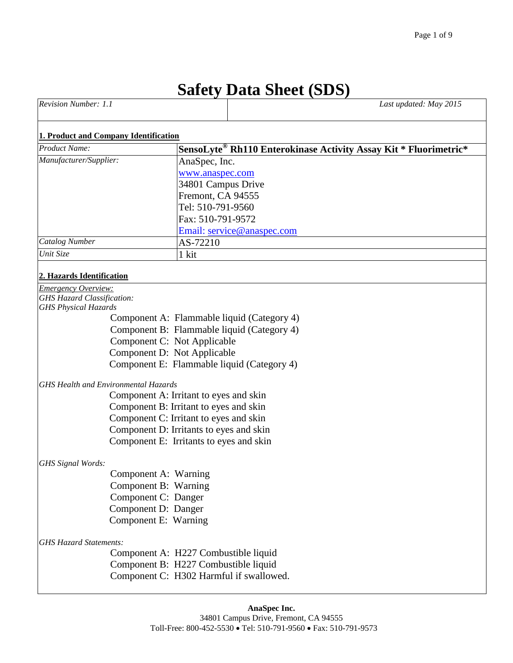# **Safety Data Sheet (SDS)**

| Revision Number: 1.1 | Last updated: May 2015 |
|----------------------|------------------------|
|                      |                        |

#### **1. Product and Company Identification**

| <b>Product Name:</b>   | SensoLyte® Rh110 Enterokinase Activity Assay Kit * Fluorimetric* |
|------------------------|------------------------------------------------------------------|
| Manufacturer/Supplier: | AnaSpec, Inc.                                                    |
|                        | www.anaspec.com                                                  |
|                        | 34801 Campus Drive                                               |
|                        | Fremont, CA 94555                                                |
|                        | Tel: 510-791-9560                                                |
|                        | Fax: 510-791-9572                                                |
|                        | Email: service@anaspec.com                                       |
| <b>Catalog Number</b>  | AS-72210                                                         |
| Unit Size              | 1 kit                                                            |

#### **2. Hazards Identification**

| <b>Emergency Overview:</b>        |                                             |
|-----------------------------------|---------------------------------------------|
| <b>GHS Hazard Classification:</b> |                                             |
| <b>GHS Physical Hazards</b>       |                                             |
|                                   | Component A: Flammable liquid (Category 4)  |
|                                   | Component B: Flammable liquid (Category 4)  |
|                                   | Component C: Not Applicable                 |
|                                   | Component D: Not Applicable                 |
|                                   | Component E: Flammable liquid (Category 4)  |
|                                   | <b>GHS Health and Environmental Hazards</b> |
|                                   | Component A: Irritant to eyes and skin      |
|                                   | Component B: Irritant to eyes and skin      |
|                                   | Component C: Irritant to eyes and skin      |
|                                   | Component D: Irritants to eyes and skin     |
|                                   | Component E: Irritants to eyes and skin     |
| GHS Signal Words:                 |                                             |
|                                   | Component A: Warning                        |
|                                   | Component B: Warning                        |
|                                   | Component C: Danger                         |
|                                   | Component D: Danger                         |
|                                   | Component E: Warning                        |
| <b>GHS Hazard Statements:</b>     |                                             |
|                                   | Component A: H227 Combustible liquid        |
|                                   | Component B: H227 Combustible liquid        |
|                                   | Component C: H302 Harmful if swallowed.     |
|                                   |                                             |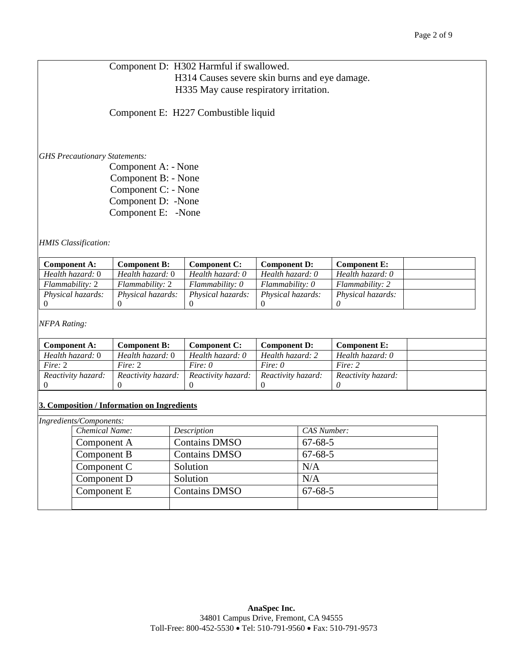Component D: H302 Harmful if swallowed. H314 Causes severe skin burns and eye damage. H335 May cause respiratory irritation.

Component E: H227 Combustible liquid

*GHS Precautionary Statements:*

 Component A: - None Component B: - None Component C: - None Component D: -None Component E: -None

*HMIS Classification:*

| <b>Component A:</b>      | <b>Component B:</b>      | Component C:             | <b>Component D:</b> | <b>Component E:</b>      |
|--------------------------|--------------------------|--------------------------|---------------------|--------------------------|
| Health hazard: 0         | Health hazard: 0         | Health hazard: 0         | Health hazard: 0    | Health hazard: 0         |
| <i>Flammability: 2</i>   | <i>Flammability: 2</i>   | Flammability: 0          | Flammability: 0     | Flammability: 2          |
| <i>Physical hazards:</i> | <i>Physical hazards:</i> | <i>Physical hazards:</i> | Physical hazards:   | <i>Physical hazards:</i> |
|                          |                          |                          |                     |                          |

*NFPA Rating:*

| <b>Component A:</b> | Component B:       | <b>Component C:</b> | <b>Component D:</b> | <b>Component E:</b> |  |
|---------------------|--------------------|---------------------|---------------------|---------------------|--|
| Health hazard: 0    | Health hazard: 0   | Health hazard: 0    | Health hazard: 2    | Health hazard: 0    |  |
| Fire: $2$           | Fire: 2            | Fire: $\theta$      | Fire: $\theta$      | Fire: 2             |  |
| Reactivity hazard:  | Reactivity hazard: | Reactivity hazard:  | Reactivity hazard:  | Reactivity hazard:  |  |
|                     |                    |                     |                     |                     |  |

#### **3. Composition / Information on Ingredients**

| Ingredients/Components: |                      |               |  |
|-------------------------|----------------------|---------------|--|
| <b>Chemical Name:</b>   | Description          | CAS Number:   |  |
| Component A             | <b>Contains DMSO</b> | $67 - 68 - 5$ |  |
| Component B             | <b>Contains DMSO</b> | $67 - 68 - 5$ |  |
| Component C             | Solution             | N/A           |  |
| Component D             | Solution             | N/A           |  |
| Component E             | <b>Contains DMSO</b> | $67 - 68 - 5$ |  |
|                         |                      |               |  |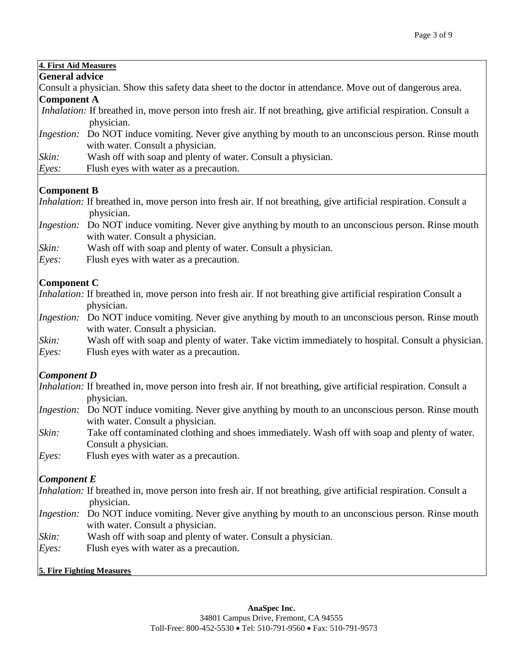## **4. First Aid Measures**

| <b>General advice</b> |  |
|-----------------------|--|
|-----------------------|--|

Consult a physician. Show this safety data sheet to the doctor in attendance. Move out of dangerous area. **Component A**

- *Inhalation:* If breathed in, move person into fresh air. If not breathing, give artificial respiration. Consult a physician.
- *Ingestion:* Do NOT induce vomiting. Never give anything by mouth to an unconscious person. Rinse mouth with water. Consult a physician.
- *Skin:* Wash off with soap and plenty of water. Consult a physician.
- *Eyes:* Flush eyes with water as a precaution.

## **Component B**

*Inhalation:* If breathed in, move person into fresh air. If not breathing, give artificial respiration. Consult a physician.

- *Ingestion:* Do NOT induce vomiting. Never give anything by mouth to an unconscious person. Rinse mouth with water. Consult a physician.
- *Skin:* Wash off with soap and plenty of water. Consult a physician.
- *Eyes:* Flush eyes with water as a precaution.

## **Component C**

*Inhalation:* If breathed in, move person into fresh air. If not breathing give artificial respiration Consult a physician.

*Ingestion:* Do NOT induce vomiting. Never give anything by mouth to an unconscious person. Rinse mouth with water. Consult a physician.

*Skin:* Wash off with soap and plenty of water. Take victim immediately to hospital. Consult a physician.

*Eyes:* Flush eyes with water as a precaution.

## *Component D*

- *Inhalation:* If breathed in, move person into fresh air. If not breathing, give artificial respiration. Consult a physician.
- *Ingestion:* Do NOT induce vomiting. Never give anything by mouth to an unconscious person. Rinse mouth with water. Consult a physician.
- *Skin:* Take off contaminated clothing and shoes immediately. Wash off with soap and plenty of water. Consult a physician.
- *Eyes:* Flush eyes with water as a precaution.

## *Component E*

*Inhalation:* If breathed in, move person into fresh air. If not breathing, give artificial respiration. Consult a physician.

- *Ingestion:* Do NOT induce vomiting. Never give anything by mouth to an unconscious person. Rinse mouth with water. Consult a physician.
- *Skin:* Wash off with soap and plenty of water. Consult a physician.
- *Eyes:* Flush eyes with water as a precaution.

## **5. Fire Fighting Measures**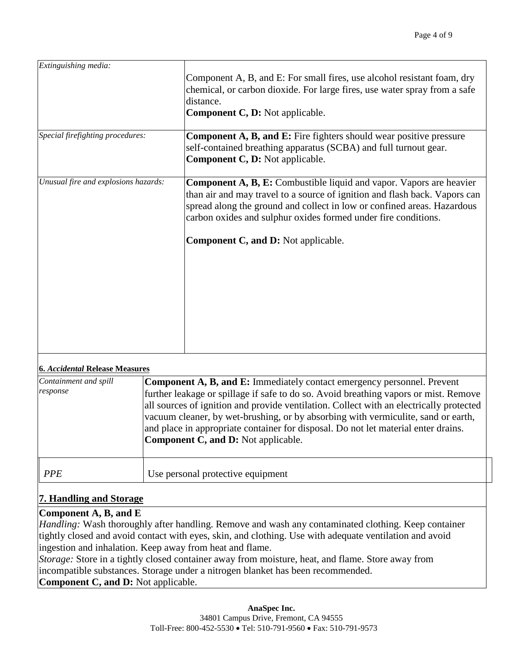| Extinguishing media:                 | Component A, B, and E: For small fires, use alcohol resistant foam, dry<br>chemical, or carbon dioxide. For large fires, use water spray from a safe<br>distance.<br><b>Component C, D: Not applicable.</b>                                                                                           |
|--------------------------------------|-------------------------------------------------------------------------------------------------------------------------------------------------------------------------------------------------------------------------------------------------------------------------------------------------------|
| Special firefighting procedures:     | <b>Component A, B, and E:</b> Fire fighters should wear positive pressure<br>self-contained breathing apparatus (SCBA) and full turnout gear.<br><b>Component C, D: Not applicable.</b>                                                                                                               |
| Unusual fire and explosions hazards: | <b>Component A, B, E:</b> Combustible liquid and vapor. Vapors are heavier<br>than air and may travel to a source of ignition and flash back. Vapors can<br>spread along the ground and collect in low or confined areas. Hazardous<br>carbon oxides and sulphur oxides formed under fire conditions. |
|                                      | <b>Component C, and D: Not applicable.</b>                                                                                                                                                                                                                                                            |

#### **6.** *Accidental* **Release Measures**

| Containment and spill<br>response | <b>Component A, B, and E:</b> Immediately contact emergency personnel. Prevent<br>further leakage or spillage if safe to do so. Avoid breathing vapors or mist. Remove<br>all sources of ignition and provide ventilation. Collect with an electrically protected<br>vacuum cleaner, by wet-brushing, or by absorbing with vermiculite, sand or earth,<br>and place in appropriate container for disposal. Do not let material enter drains.<br>Component C, and D: Not applicable. |  |
|-----------------------------------|-------------------------------------------------------------------------------------------------------------------------------------------------------------------------------------------------------------------------------------------------------------------------------------------------------------------------------------------------------------------------------------------------------------------------------------------------------------------------------------|--|
| <b>PPE</b>                        | Use personal protective equipment                                                                                                                                                                                                                                                                                                                                                                                                                                                   |  |

## **7. Handling and Storage**

#### **Component A, B, and E**

*Handling:* Wash thoroughly after handling. Remove and wash any contaminated clothing. Keep container tightly closed and avoid contact with eyes, skin, and clothing. Use with adequate ventilation and avoid ingestion and inhalation. Keep away from heat and flame.

*Storage:* Store in a tightly closed container away from moisture, heat, and flame. Store away from incompatible substances. Storage under a nitrogen blanket has been recommended. **Component C, and D:** Not applicable.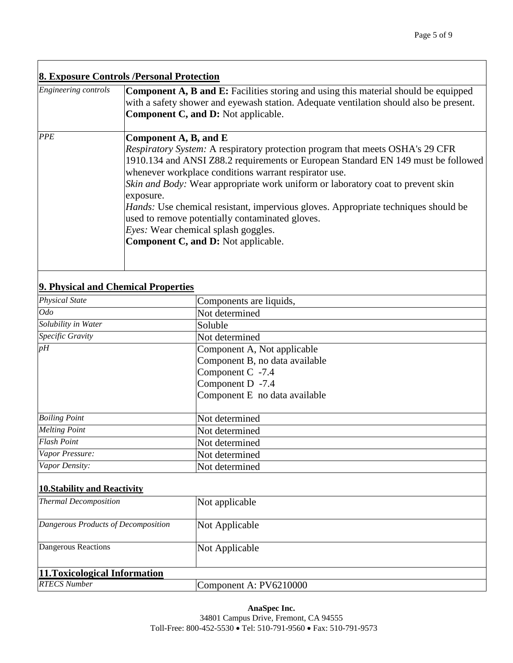## **8. Exposure Controls /Personal Protection**

| Engineering controls | <b>Component A, B and E:</b> Facilities storing and using this material should be equipped<br>with a safety shower and eyewash station. Adequate ventilation should also be present.<br><b>Component C, and D:</b> Not applicable.                                                                                                                                                                                                                                                                                                                                                               |
|----------------------|--------------------------------------------------------------------------------------------------------------------------------------------------------------------------------------------------------------------------------------------------------------------------------------------------------------------------------------------------------------------------------------------------------------------------------------------------------------------------------------------------------------------------------------------------------------------------------------------------|
| <b>PPE</b>           | Component A, B, and E<br><i>Respiratory System:</i> A respiratory protection program that meets OSHA's 29 CFR<br>1910.134 and ANSI Z88.2 requirements or European Standard EN 149 must be followed<br>whenever workplace conditions warrant respirator use.<br>Skin and Body: Wear appropriate work uniform or laboratory coat to prevent skin<br>exposure.<br><i>Hands:</i> Use chemical resistant, impervious gloves. Appropriate techniques should be<br>used to remove potentially contaminated gloves.<br><i>Eyes:</i> Wear chemical splash goggles.<br>Component C, and D: Not applicable. |

## **9. Physical and Chemical Properties**

| <b>Physical State</b>               | Components are liquids,        |
|-------------------------------------|--------------------------------|
| <i>Odo</i>                          | Not determined                 |
| Solubility in Water                 | Soluble                        |
| Specific Gravity                    | Not determined                 |
| pH                                  | Component A, Not applicable    |
|                                     | Component B, no data available |
|                                     | Component C -7.4               |
|                                     | Component D -7.4               |
|                                     | Component E no data available  |
|                                     |                                |
| <b>Boiling Point</b>                | Not determined                 |
| <b>Melting Point</b>                | Not determined                 |
| <b>Flash Point</b>                  | Not determined                 |
| Vapor Pressure:                     | Not determined                 |
| Vapor Density:                      | Not determined                 |
|                                     |                                |
| 10. Stability and Reactivity        |                                |
| <b>Thermal Decomposition</b>        | Not applicable                 |
|                                     |                                |
| Dangerous Products of Decomposition | Not Applicable                 |
|                                     |                                |
| Dangerous Reactions                 | Not Applicable                 |

| 11. Toxicological Information |                        |
|-------------------------------|------------------------|
| <b>RTECS Number</b>           | Component A: PV6210000 |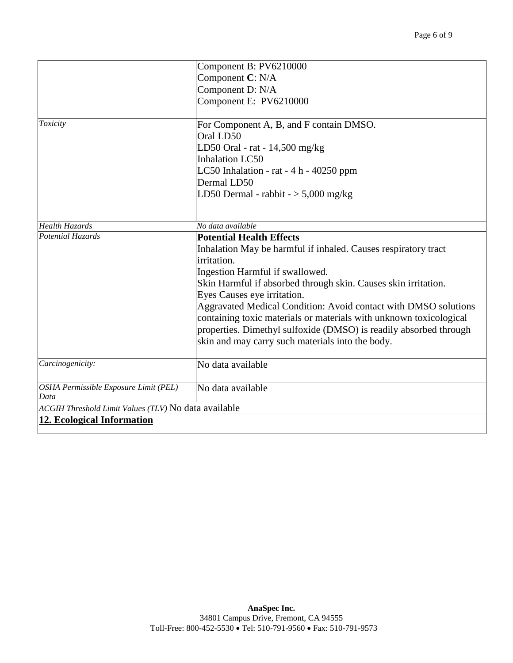|                                                      | Component B: PV6210000                                             |  |  |  |  |  |  |
|------------------------------------------------------|--------------------------------------------------------------------|--|--|--|--|--|--|
|                                                      | Component C: N/A                                                   |  |  |  |  |  |  |
|                                                      | Component D: N/A<br>Component E: PV6210000                         |  |  |  |  |  |  |
|                                                      |                                                                    |  |  |  |  |  |  |
|                                                      |                                                                    |  |  |  |  |  |  |
| Toxicity                                             | For Component A, B, and F contain DMSO.                            |  |  |  |  |  |  |
|                                                      | Oral LD50                                                          |  |  |  |  |  |  |
|                                                      | LD50 Oral - rat - $14,500$ mg/kg                                   |  |  |  |  |  |  |
|                                                      | <b>Inhalation LC50</b>                                             |  |  |  |  |  |  |
|                                                      | LC50 Inhalation - rat $-4 h - 40250$ ppm                           |  |  |  |  |  |  |
|                                                      | Dermal LD50                                                        |  |  |  |  |  |  |
|                                                      | LD50 Dermal - rabbit $-$ > 5,000 mg/kg                             |  |  |  |  |  |  |
|                                                      |                                                                    |  |  |  |  |  |  |
| <b>Health Hazards</b>                                | No data available                                                  |  |  |  |  |  |  |
| Potential Hazards                                    | <b>Potential Health Effects</b>                                    |  |  |  |  |  |  |
|                                                      | Inhalation May be harmful if inhaled. Causes respiratory tract     |  |  |  |  |  |  |
|                                                      | irritation.                                                        |  |  |  |  |  |  |
|                                                      | Ingestion Harmful if swallowed.                                    |  |  |  |  |  |  |
|                                                      | Skin Harmful if absorbed through skin. Causes skin irritation.     |  |  |  |  |  |  |
|                                                      | Eyes Causes eye irritation.                                        |  |  |  |  |  |  |
|                                                      | Aggravated Medical Condition: Avoid contact with DMSO solutions    |  |  |  |  |  |  |
|                                                      | containing toxic materials or materials with unknown toxicological |  |  |  |  |  |  |
|                                                      | properties. Dimethyl sulfoxide (DMSO) is readily absorbed through  |  |  |  |  |  |  |
|                                                      | skin and may carry such materials into the body.                   |  |  |  |  |  |  |
|                                                      |                                                                    |  |  |  |  |  |  |
| Carcinogenicity:                                     | No data available                                                  |  |  |  |  |  |  |
|                                                      |                                                                    |  |  |  |  |  |  |
| OSHA Permissible Exposure Limit (PEL)<br>Data        | No data available                                                  |  |  |  |  |  |  |
| ACGIH Threshold Limit Values (TLV) No data available |                                                                    |  |  |  |  |  |  |
| <b>12. Ecological Information</b>                    |                                                                    |  |  |  |  |  |  |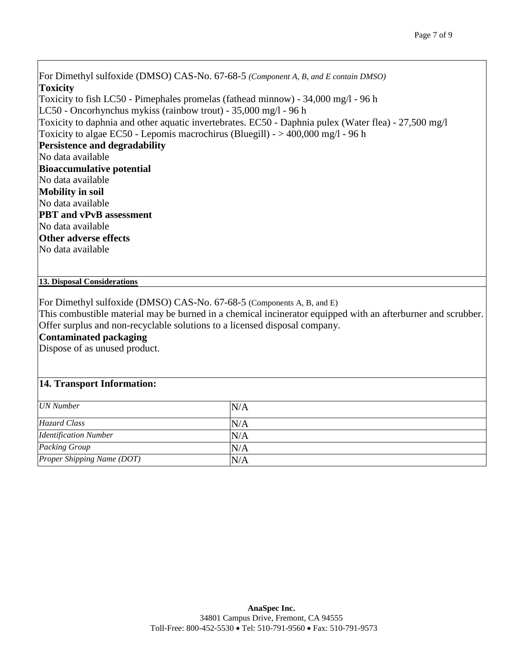For Dimethyl sulfoxide (DMSO) CAS-No. 67-68-5 *(Component A, B, and E contain DMSO)* **Toxicity** Toxicity to fish LC50 - Pimephales promelas (fathead minnow) - 34,000 mg/l - 96 h LC50 - Oncorhynchus mykiss (rainbow trout) - 35,000 mg/l - 96 h Toxicity to daphnia and other aquatic invertebrates. EC50 - Daphnia pulex (Water flea) - 27,500 mg/l Toxicity to algae EC50 - Lepomis macrochirus (Bluegill) -  $> 400,000$  mg/l - 96 h **Persistence and degradability** No data available **Bioaccumulative potential** No data available **Mobility in soil** No data available **PBT and vPvB assessment** No data available **Other adverse effects** No data available

#### **13. Disposal Considerations**

For Dimethyl sulfoxide (DMSO) CAS-No. 67-68-5 (Components A, B, and E)

This combustible material may be burned in a chemical incinerator equipped with an afterburner and scrubber. Offer surplus and non-recyclable solutions to a licensed disposal company.

#### **Contaminated packaging**

Dispose of as unused product.

#### **14. Transport Information:**

| <b>UN</b> Number             | N/A |
|------------------------------|-----|
| Hazard Class                 | N/A |
| <b>Identification Number</b> | N/A |
| Packing Group                | N/A |
| Proper Shipping Name (DOT)   | N/A |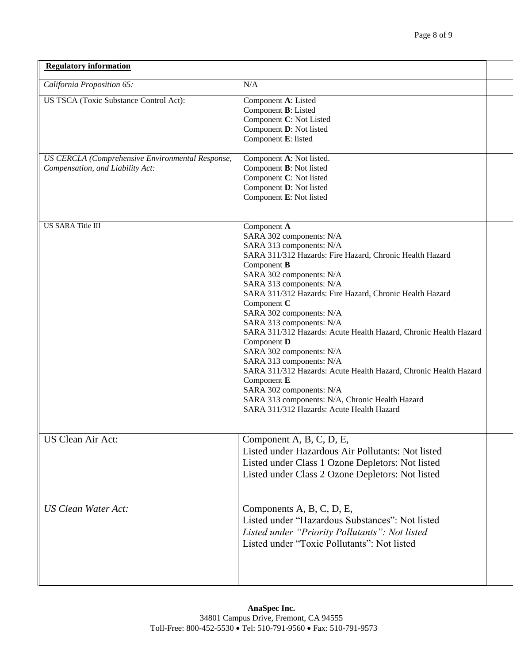| <b>Regulatory information</b>                                                        |                                                                                                                                                                                                                                                                                                                                                                                                                                                                                                                                                                                                                                                                                                            |  |  |  |
|--------------------------------------------------------------------------------------|------------------------------------------------------------------------------------------------------------------------------------------------------------------------------------------------------------------------------------------------------------------------------------------------------------------------------------------------------------------------------------------------------------------------------------------------------------------------------------------------------------------------------------------------------------------------------------------------------------------------------------------------------------------------------------------------------------|--|--|--|
| California Proposition 65:                                                           | N/A                                                                                                                                                                                                                                                                                                                                                                                                                                                                                                                                                                                                                                                                                                        |  |  |  |
| US TSCA (Toxic Substance Control Act):                                               | Component A: Listed<br>Component B: Listed<br>Component C: Not Listed<br>Component D: Not listed<br>Component E: listed                                                                                                                                                                                                                                                                                                                                                                                                                                                                                                                                                                                    |  |  |  |
| US CERCLA (Comprehensive Environmental Response,<br>Compensation, and Liability Act: | Component A: Not listed.<br>Component <b>B</b> : Not listed<br>Component C: Not listed<br>Component D: Not listed<br>Component E: Not listed                                                                                                                                                                                                                                                                                                                                                                                                                                                                                                                                                               |  |  |  |
| <b>US SARA Title III</b>                                                             | Component A<br>SARA 302 components: N/A<br>SARA 313 components: N/A<br>SARA 311/312 Hazards: Fire Hazard, Chronic Health Hazard<br>Component <b>B</b><br>SARA 302 components: N/A<br>SARA 313 components: N/A<br>SARA 311/312 Hazards: Fire Hazard, Chronic Health Hazard<br>Component C<br>SARA 302 components: N/A<br>SARA 313 components: N/A<br>SARA 311/312 Hazards: Acute Health Hazard, Chronic Health Hazard<br>Component D<br>SARA 302 components: N/A<br>SARA 313 components: N/A<br>SARA 311/312 Hazards: Acute Health Hazard, Chronic Health Hazard<br>Component E<br>SARA 302 components: N/A<br>SARA 313 components: N/A, Chronic Health Hazard<br>SARA 311/312 Hazards: Acute Health Hazard |  |  |  |
| <b>US Clean Air Act:</b>                                                             | Component A, B, C, D, E,<br>Listed under Hazardous Air Pollutants: Not listed<br>Listed under Class 1 Ozone Depletors: Not listed<br>Listed under Class 2 Ozone Depletors: Not listed                                                                                                                                                                                                                                                                                                                                                                                                                                                                                                                      |  |  |  |
| <b>US Clean Water Act:</b>                                                           | Components A, B, C, D, E,<br>Listed under "Hazardous Substances": Not listed<br>Listed under "Priority Pollutants": Not listed<br>Listed under "Toxic Pollutants": Not listed                                                                                                                                                                                                                                                                                                                                                                                                                                                                                                                              |  |  |  |